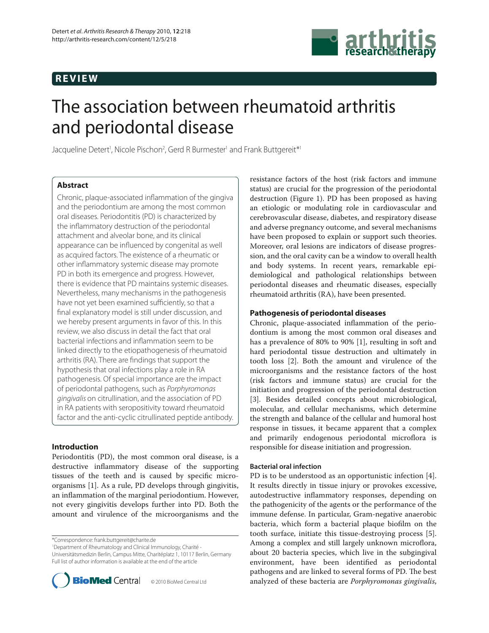## **REVIEW**



# The association between rheumatoid arthritis and periodontal disease

Jacqueline Detert<sup>1</sup>, Nicole Pischon<sup>2</sup>, Gerd R Burmester<sup>1</sup> and Frank Buttgereit<sup>\*1</sup>

## **Abstract**

Chronic, plaque-associated inflammation of the gingiva and the periodontium are among the most common oral diseases. Periodontitis (PD) is characterized by the inflammatory destruction of the periodontal attachment and alveolar bone, and its clinical appearance can be influenced by congenital as well as acquired factors. The existence of a rheumatic or other inflammatory systemic disease may promote PD in both its emergence and progress. However, there is evidence that PD maintains systemic diseases. Nevertheless, many mechanisms in the pathogenesis have not yet been examined sufficiently, so that a final explanatory model is still under discussion, and we hereby present arguments in favor of this. In this review, we also discuss in detail the fact that oral bacterial infections and inflammation seem to be linked directly to the etiopathogenesis of rheumatoid arthritis (RA). There are findings that support the hypothesis that oral infections play a role in RA pathogenesis. Of special importance are the impact of periodontal pathogens, such as Porphyromonas gingivalis on citrullination, and the association of PD in RA patients with seropositivity toward rheumatoid factor and the anti-cyclic citrullinated peptide antibody.

## **Introduction**

Periodontitis (PD), the most common oral disease, is a destructive inflammatory disease of the supporting tissues of the teeth and is caused by specific microorganisms [1]. As a rule, PD develops through gingivitis, an inflammation of the marginal periodontium. However, not every gingivitis develops further into PD. Both the amount and virulence of the microorganisms and the

\*Correspondence: frank.buttgereit@charite.de

1 Department of Rheumatology and Clinical Immunology, Charité -

Universitätsmedizin Berlin, Campus Mitte, Charitéplatz 1, 10117 Berlin, Germany Full list of author information is available at the end of the article



resistance factors of the host (risk factors and immune status) are crucial for the progression of the periodontal destruction (Figure 1). PD has been proposed as having an etiologic or modulating role in cardiovascular and cerebrovascular disease, diabetes, and respiratory disease and adverse pregnancy outcome, and several mechanisms have been proposed to explain or support such theories. Moreover, oral lesions are indicators of disease progression, and the oral cavity can be a window to overall health and body systems. In recent years, remarkable epidemiological and pathological relationships between periodontal diseases and rheumatic diseases, especially rheumatoid arthritis (RA), have been presented.

## **Pathogenesis of periodontal diseases**

Chronic, plaque-associated inflammation of the periodontium is among the most common oral diseases and has a prevalence of 80% to 90% [1], resulting in soft and hard periodontal tissue destruction and ultimately in tooth loss [2]. Both the amount and virulence of the microorganisms and the resistance factors of the host (risk factors and immune status) are crucial for the initiation and progression of the periodontal destruction [3]. Besides detailed concepts about microbiological, molecular, and cellular mechanisms, which determine the strength and balance of the cellular and humoral host response in tissues, it became apparent that a complex and primarily endogenous periodontal microflora is responsible for disease initiation and progression.

## **Bacterial oral infection**

PD is to be understood as an opportunistic infection [4]. It results directly in tissue injury or provokes excessive, autodestructive inflammatory responses, depending on the pathogenicity of the agents or the performance of the immune defense. In particular, Gram-negative anaerobic bacteria, which form a bacterial plaque biofilm on the tooth surface, initiate this tissue-destroying process [5]. Among a complex and still largely unknown microflora, about 20 bacteria species, which live in the subgingival environment, have been identified as periodontal pathogens and are linked to several forms of PD. The best analyzed of these bacteria are *Porphyromonas gingivalis*,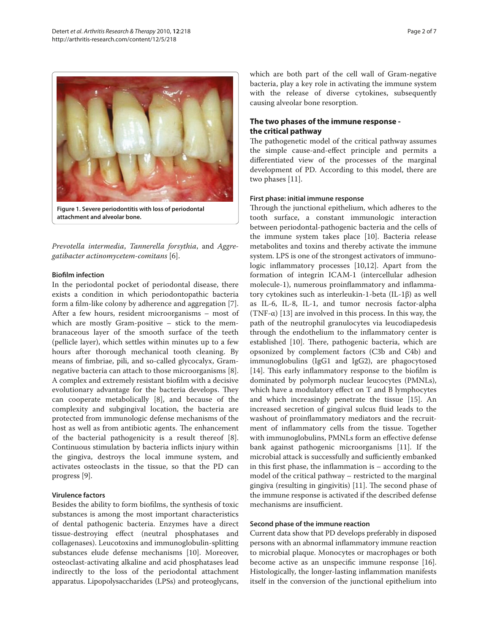

*Prevotella intermedia*, *Tannerella forsythia*, and *Aggregati bacter actinomycetem-comitans* [6].

#### **Biofilm infection**

In the periodontal pocket of periodontal disease, there exists a condition in which periodontopathic bacteria form a film-like colony by adherence and aggregation [7]. After a few hours, resident microorganisms – most of which are mostly Gram-positive – stick to the membranaceous layer of the smooth surface of the teeth (pellicle layer), which settles within minutes up to a few hours after thorough mechanical tooth cleaning. By means of fimbriae, pili, and so-called glycocalyx, Gramnegative bacteria can attach to those microorganisms [8]. A complex and extremely resistant biofilm with a decisive evolutionary advantage for the bacteria develops. They can cooperate metabolically [8], and because of the complexity and subgingival location, the bacteria are protected from immunologic defense mechanisms of the host as well as from antibiotic agents. The enhancement of the bacterial pathogenicity is a result thereof [8]. Continuous stimulation by bacteria inflicts injury within the gingiva, destroys the local immune system, and activates osteoclasts in the tissue, so that the PD can progress [9].

#### **Virulence factors**

Besides the ability to form biofilms, the synthesis of toxic substances is among the most important characteristics of dental pathogenic bacteria. Enzymes have a direct tissue-destroying effect (neutral phosphatases and collagenases). Leucotoxins and immunoglobulin-splitting substances elude defense mechanisms [10]. Moreover, osteoclast-activating alkaline and acid phosphatases lead indirectly to the loss of the periodontal attachment apparatus. Lipopolysaccharides (LPSs) and proteoglycans, which are both part of the cell wall of Gram-negative bacteria, play a key role in activating the immune system with the release of diverse cytokines, subsequently causing alveolar bone resorption.

## **The two phases of the immune response the critical pathway**

The pathogenetic model of the critical pathway assumes the simple cause-and-effect principle and permits a differentiated view of the processes of the marginal development of PD. According to this model, there are two phases [11].

#### **First phase: initial immune response**

Through the junctional epithelium, which adheres to the tooth surface, a constant immunologic interaction between periodontal-pathogenic bacteria and the cells of the immune system takes place [10]. Bacteria release metabolites and toxins and thereby activate the immune system. LPS is one of the strongest activators of immunologic inflammatory processes  $[10,12]$ . Apart from the formation of integrin ICAM-1 (intercellular adhesion molecule-1), numerous proinflammatory and inflammatory cytokines such as interleukin-1-beta (IL-1β) as well as IL-6, IL-8, IL-1, and tumor necrosis factor-alpha (TNF- $\alpha$ ) [13] are involved in this process. In this way, the path of the neutrophil granulocytes via leucodiapedesis through the endothelium to the inflammatory center is established [10]. There, pathogenic bacteria, which are opsonized by complement factors (C3b and C4b) and immunoglobulins (IgG1 and IgG2), are phagocytosed  $[14]$ . This early inflammatory response to the biofilm is dominated by polymorph nuclear leucocytes (PMNLs), which have a modulatory effect on  $T$  and  $B$  lymphocytes and which increasingly penetrate the tissue [15]. An increased secretion of gingival sulcus fluid leads to the washout of proinflammatory mediators and the recruitment of inflammatory cells from the tissue. Together with immunoglobulins, PMNLs form an effective defense bank against pathogenic microorganisms [11]. If the microbial attack is successfully and sufficiently embanked in this first phase, the inflammation is  $-$  according to the model of the critical pathway – restricted to the marginal gingiva (resulting in gingivitis) [11]. The second phase of the immune response is activated if the described defense mechanisms are insufficient.

#### **Second phase of the immune reaction**

Current data show that PD develops preferably in disposed persons with an abnormal inflammatory immune reaction to microbial plaque. Monocytes or macrophages or both become active as an unspecific immune response [16]. Histologically, the longer-lasting inflammation manifests itself in the conversion of the junctional epithelium into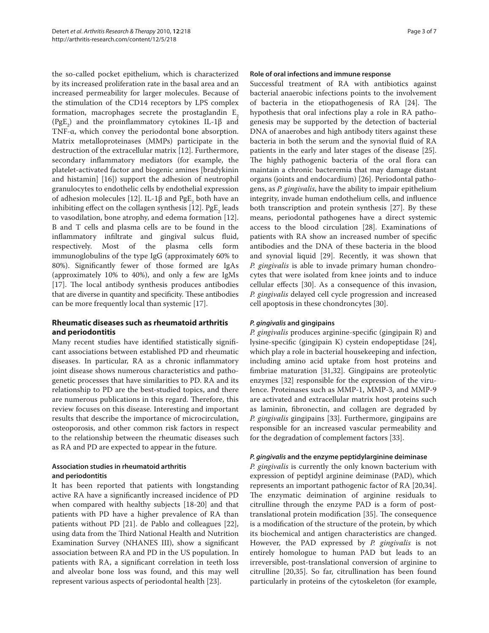the so-called pocket epithelium, which is characterized by its increased proliferation rate in the basal area and an increased permeability for larger molecules. Because of the stimulation of the CD14 receptors by LPS complex formation, macrophages secrete the prostaglandin  $E<sub>2</sub>$ (PgE<sub>2</sub>) and the proinflammatory cytokines IL-1β and TNF-α, which convey the periodontal bone absorption. Matrix metalloproteinases (MMPs) participate in the destruction of the extracellular matrix [12]. Furthermore, secondary inflammatory mediators (for example, the platelet-activated factor and biogenic amines [bradykinin and histamin] [16]) support the adhesion of neutrophil granulocytes to endothelic cells by endothelial expression of adhesion molecules [12]. IL-1β and PgE<sub>2</sub> both have an inhibiting effect on the collagen synthesis [12]. PgE<sub>2</sub> leads to vasodilation, bone atrophy, and edema formation [12]. B and T cells and plasma cells are to be found in the inflammatory infiltrate and gingival sulcus fluid, respectively. Most of the plasma cells form immunoglobulins of the type IgG (approximately 60% to 80%). Significantly fewer of those formed are IgAs (approximately 10% to 40%), and only a few are IgMs [17]. The local antibody synthesis produces antibodies that are diverse in quantity and specificity. These antibodies can be more frequently local than systemic [17].

## **Rheumatic diseases such as rheumatoid arthritis and periodontitis**

Many recent studies have identified statistically significant associations between established PD and rheumatic diseases. In particular, RA as a chronic inflammatory joint disease shows numerous characteristics and pathogenetic processes that have similarities to PD. RA and its relationship to PD are the best-studied topics, and there are numerous publications in this regard. Therefore, this review focuses on this disease. Interesting and important results that describe the importance of microcirculation, osteoporosis, and other common risk factors in respect to the relationship between the rheumatic diseases such as RA and PD are expected to appear in the future.

## **Association studies in rheumatoid arthritis and periodontitis**

It has been reported that patients with longstanding active RA have a significantly increased incidence of PD when compared with healthy subjects [18-20] and that patients with PD have a higher prevalence of RA than patients without PD [21]. de Pablo and colleagues [22], using data from the Third National Health and Nutrition Examination Survey (NHANES III), show a significant association between RA and PD in the US population. In patients with RA, a significant correlation in teeth loss and alveolar bone loss was found, and this may well represent various aspects of periodontal health [23].

#### **Role of oral infections and immune response**

Successful treatment of RA with antibiotics against bacterial anaerobic infections points to the involvement of bacteria in the etiopathogenesis of  $RA$  [24]. The hypothesis that oral infections play a role in RA pathogenesis may be supported by the detection of bacterial DNA of anaerobes and high antibody titers against these bacteria in both the serum and the synovial fluid of RA patients in the early and later stages of the disease [25]. The highly pathogenic bacteria of the oral flora can maintain a chronic bacteremia that may damage distant organs (joints and endocardium) [26]. Periodontal pathogens, as *P. gingivalis*, have the ability to impair epithelium integrity, invade human endothelium cells, and influence both transcription and protein synthesis [27]. By these means, periodontal pathogenes have a direct systemic access to the blood circulation [28]. Examinations of patients with RA show an increased number of specific antibodies and the DNA of these bacteria in the blood and synovial liquid [29]. Recently, it was shown that *P. gingivalis* is able to invade primary human chondrocytes that were isolated from knee joints and to induce cellular effects [30]. As a consequence of this invasion, *P. gingivalis* delayed cell cycle progression and increased cell apoptosis in these chondroncytes [30].

## *P. gingivalis* **and gingipains**

*P. gingivalis* produces arginine-specific (gingipain R) and lysine-specific (gingipain K) cystein endopeptidase  $[24]$ , which play a role in bacterial housekeeping and infection, including amino acid uptake from host proteins and fimbriae maturation  $[31,32]$ . Gingipains are proteolytic enzymes [32] responsible for the expression of the virulence. Proteinases such as MMP-1, MMP-3, and MMP-9 are activated and extracellular matrix host proteins such as laminin, fibronectin, and collagen are degraded by *P. gingivalis* gingipains [33]. Furthermore, gingipains are responsible for an increased vascular permeability and for the degradation of complement factors [33].

#### *P. gingivalis* **and the enzyme peptidylarginine deiminase**

*P. gingivalis* is currently the only known bacterium with expression of peptidyl arginine deiminase (PAD), which represents an important pathogenic factor of RA [20,34]. The enzymatic deimination of arginine residuals to citrulline through the enzyme PAD is a form of posttranslational protein modification [35]. The consequence is a modification of the structure of the protein, by which its biochemical and antigen characteristics are changed. However, the PAD expressed by *P. gingivalis* is not entirely homologue to human PAD but leads to an irreversible, post-translational conversion of arginine to citrulline [20,35]. So far, citrullination has been found particularly in proteins of the cytoskeleton (for example,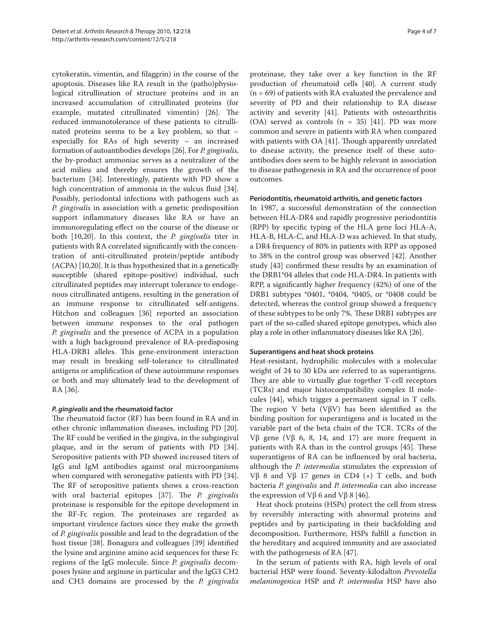cytokeratin, vimentin, and filaggrin) in the course of the apoptosis. Diseases like RA result in the (patho)physiological citrullination of structure proteins and in an increased accumulation of citrullinated proteins (for example, mutated citrullinated vimentin) [26]. The reduced immunotolerance of these patients to citrullinated proteins seems to be a key problem, so that – especially for RAs of high severity – an increased formation of autoantibodies develops [26]. For *P. gingivalis*, the by-product ammoniac serves as a neutralizer of the acid milieu and thereby ensures the growth of the bacterium [34]. Interestingly, patients with PD show a high concentration of ammonia in the sulcus fluid [34]. Possibly, periodontal infections with pathogens such as *P. gingivalis* in association with a genetic predisposition support inflammatory diseases like RA or have an immuno regulating effect on the course of the disease or both [10,20]. In this context, the *P. gingivalis* titer in patients with RA correlated significantly with the concentration of anti-citrullinated protein/peptide antibody (ACPA) [10,20]. It is thus hypothesized that in a genetically susceptible (shared epitope-positive) individual, such citrullinated peptides may interrupt tolerance to endogenous citrullinated antigens, resulting in the generation of an immune response to citrullinated self-antigens. Hitchon and colleagues [36] reported an association between immune responses to the oral pathogen *P. gingivalis* and the presence of ACPA in a population with a high background prevalence of RA-predisposing HLA-DRB1 alleles. This gene-environment interaction may result in breaking self-tolerance to citrullinated antigens or amplification of these autoimmune responses or both and may ultimately lead to the development of RA [36].

#### *P. gingivalis* **and the rheumatoid factor**

The rheumatoid factor (RF) has been found in RA and in other chronic inflammation diseases, including PD [20]. The RF could be verified in the gingiva, in the subgingival plaque, and in the serum of patients with PD [34]. Seropositive patients with PD showed increased titers of IgG and IgM antibodies against oral microorganisms when compared with seronegative patients with PD [34]. The RF of seropositive patients shows a cross-reaction with oral bacterial epitopes [37]. The *P. gingivalis* proteinase is responsible for the epitope development in the RF-Fc region. The proteinases are regarded as important virulence factors since they make the growth of *P. gingivalis* possible and lead to the degradation of the host tissue [38]. Bonagura and colleagues [39] identified the lysine and arginine amino acid sequences for these Fc regions of the IgG molecule. Since *P. gingivalis* decomposes lysine and arginine in particular and the IgG3 CH2 and CH3 domains are processed by the *P. gingivalis* 

proteinase, they take over a key function in the RF production of rheumatoid cells [40]. A current study  $(n = 69)$  of patients with RA evaluated the prevalence and severity of PD and their relationship to RA disease activity and severity [41]. Patients with osteoarthritis (OA) served as controls  $(n = 35)$  [41]. PD was more common and severe in patients with RA when compared with patients with OA [41]. Though apparently unrelated to disease activity, the presence itself of these autoantibodies does seem to be highly relevant in association to disease pathogenesis in RA and the occurrence of poor outcomes.

#### **Periodontitis, rheumatoid arthritis, and genetic factors**

In 1987, a successful demonstration of the connection between HLA-DR4 and rapidly progressive periodontitis (RPP) by specific typing of the HLA gene loci HLA-A, HLA-B, HLA-C, and HLA-D was achieved. In that study, a DR4 frequency of 80% in patients with RPP as opposed to 38% in the control group was observed [42]. Another study [43] confirmed these results by an examination of the DRB1\*04 alleles that code HLA-DR4. In patients with RPP, a significantly higher frequency  $(42%)$  of one of the DRB1 subtypes \*0401, \*0404, \*0405, or \*0408 could be detected, whereas the control group showed a frequency of these subtypes to be only 7%. These DRB1 subtypes are part of the so-called shared epitope genotypes, which also play a role in other inflammatory diseases like RA [26].

#### **Superantigens and heat shock proteins**

Heat-resistant, hydrophilic molecules with a molecular weight of 24 to 30 kDa are referred to as superantigens. They are able to virtually glue together T-cell receptors (TCRs) and major histocompatibility complex II molecules [44], which trigger a permanent signal in T cells. The region V beta (V $\beta$ V) has been identified as the binding position for superantigens and is located in the variable part of the beta chain of the TCR. TCRs of the Vβ gene (Vβ 6, 8, 14, and 17) are more frequent in patients with RA than in the control groups [45]. These superantigens of RA can be influenced by oral bacteria, although the *P. intermedia* stimulates the expression of Vβ 8 and Vβ 17 genes in CD4 (+) T cells, and both bacteria *P. gingivalis* and *P. intermedia* can also increase the expression of Vβ 6 and Vβ 8 [46].

Heat shock proteins (HSPs) protect the cell from stress by reversibly interacting with abnormal proteins and peptides and by participating in their backfolding and decomposition. Furthermore, HSPs fulfill a function in the hereditary and acquired immunity and are associated with the pathogenesis of RA [47].

In the serum of patients with RA, high levels of oral bacterial HSP were found. Seventy-kilodalton *Prevotella melaninogenica* HSP and *P. intermedia* HSP have also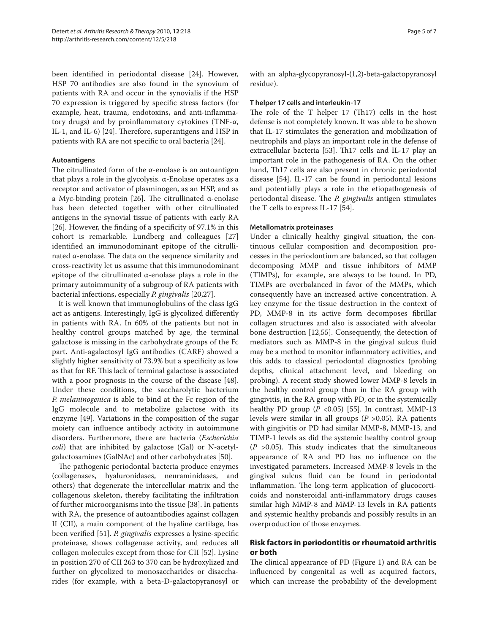been identified in periodontal disease [24]. However, HSP 70 antibodies are also found in the synovium of patients with RA and occur in the synovialis if the HSP 70 expression is triggered by specific stress factors (for example, heat, trauma, endotoxins, and anti-inflammatory drugs) and by proinflammatory cytokines (TNF- $\alpha$ , IL-1, and IL-6) [24]. Therefore, superantigens and HSP in patients with RA are not specific to oral bacteria [24].

#### **Autoantigens**

The citrullinated form of the  $\alpha$ -enolase is an autoantigen that plays a role in the glycolysis. α-Enolase operates as a receptor and activator of plasminogen, as an HSP, and as a Myc-binding protein [26]. The citrullinated  $\alpha$ -enolase has been detected together with other citrullinated antigens in the synovial tissue of patients with early RA [26]. However, the finding of a specificity of  $97.1\%$  in this cohort is remarkable. Lundberg and colleagues [27] identified an immunodominant epitope of the citrullinated  $\alpha$ -enolase. The data on the sequence similarity and cross-reactivity let us assume that this immunodominant epitope of the citrullinated  $\alpha$ -enolase plays a role in the primary autoimmunity of a subgroup of RA patients with bacterial infections, especially *P. gingivalis* [20,27].

It is well known that immunoglobulins of the class IgG act as antigens. Interestingly, IgG is glycolized differently in patients with RA. In 60% of the patients but not in healthy control groups matched by age, the terminal galactose is missing in the carbohydrate groups of the Fc part. Anti-agalactosyl IgG antibodies (CARF) showed a slightly higher sensitivity of 73.9% but a specificity as low as that for RF. This lack of terminal galactose is associated with a poor prognosis in the course of the disease [48]. Under these conditions, the saccharolytic bacterium *P. melaninogenica* is able to bind at the Fc region of the IgG molecule and to metabolize galactose with its enzyme [49]. Variations in the composition of the sugar moiety can influence antibody activity in autoimmune disorders. Furthermore, there are bacteria (*Escherichia coli*) that are inhibited by galactose (Gal) or N-acetylgalactosamines (GalNAc) and other carbohydrates [50].

The pathogenic periodontal bacteria produce enzymes (collagenases, hyaluronidases, neuraminidases, and others) that degenerate the intercellular matrix and the collagenous skeleton, thereby facilitating the infiltration of further microorganisms into the tissue [38]. In patients with RA, the presence of autoantibodies against collagen II (CII), a main component of the hyaline cartilage, has been verified [51]. *P. gingivalis* expresses a lysine-specific proteinase, shows collagenase activity, and reduces all collagen molecules except from those for CII [52]. Lysine in position 270 of CII 263 to 370 can be hydroxylized and further on glycolized to monosaccharides or disaccharides (for example, with a beta-D-galactopyranosyl or with an alpha-glycopyranosyl-(1,2)-beta-galactopyranosyl residue).

#### **T helper 17 cells and interleukin-17**

The role of the T helper 17 (Th17) cells in the host defense is not completely known. It was able to be shown that IL-17 stimulates the generation and mobilization of neutrophils and plays an important role in the defense of extracellular bacteria [53]. Th17 cells and IL-17 play an important role in the pathogenesis of RA. On the other hand, Th17 cells are also present in chronic periodontal disease [54]. IL-17 can be found in periodontal lesions and potentially plays a role in the etiopathogenesis of periodontal disease. The *P. gingivalis* antigen stimulates the T cells to express IL-17 [54].

#### **Metallomatrix proteinases**

Under a clinically healthy gingival situation, the continuous cellular composition and decomposition processes in the periodontium are balanced, so that collagen decomposing MMP and tissue inhibitors of MMP (TIMPs), for example, are always to be found. In PD, TIMPs are overbalanced in favor of the MMPs, which consequently have an increased active concentration. A key enzyme for the tissue destruction in the context of PD, MMP-8 in its active form decomposes fibrillar collagen structures and also is associated with alveolar bone destruction [12,55]. Consequently, the detection of mediators such as MMP-8 in the gingival sulcus fluid may be a method to monitor inflammatory activities, and this adds to classical periodontal diagnostics (probing depths, clinical attachment level, and bleeding on probing). A recent study showed lower MMP-8 levels in the healthy control group than in the RA group with gingivitis, in the RA group with PD, or in the systemically healthy PD group  $(P \le 0.05)$  [55]. In contrast, MMP-13 levels were similar in all groups  $(P > 0.05)$ . RA patients with gingivitis or PD had similar MMP-8, MMP-13, and TIMP-1 levels as did the systemic healthy control group  $(P > 0.05)$ . This study indicates that the simultaneous appearance of RA and PD has no influence on the investigated parameters. Increased MMP-8 levels in the gingival sulcus fluid can be found in periodontal inflammation. The long-term application of glucocorticoids and nonsteroidal anti-inflammatory drugs causes similar high MMP-8 and MMP-13 levels in RA patients and systemic healthy probands and possibly results in an overproduction of those enzymes.

## **Risk factors in periodontitis or rheumatoid arthritis or both**

The clinical appearance of PD (Figure 1) and RA can be influenced by congenital as well as acquired factors, which can increase the probability of the development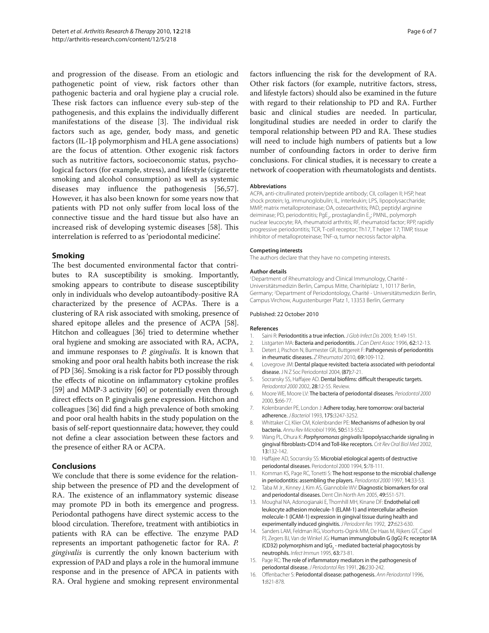and progression of the disease. From an etiologic and pathogenetic point of view, risk factors other than pathogenic bacteria and oral hygiene play a crucial role. These risk factors can influence every sub-step of the pathogenesis, and this explains the individually different manifestations of the disease [3]. The individual risk factors such as age, gender, body mass, and genetic factors (IL-1β polymorphism and HLA gene associations) are the focus of attention. Other exogenic risk factors such as nutritive factors, socioeconomic status, psychological factors (for example, stress), and lifestyle (cigarette smoking and alcohol consumption) as well as systemic diseases may influence the pathogenesis [56,57]. However, it has also been known for some years now that patients with PD not only suffer from local loss of the connective tissue and the hard tissue but also have an increased risk of developing systemic diseases [58]. This interrelation is referred to as 'periodontal medicine'.

#### **Smoking**

The best documented environmental factor that contributes to RA susceptibility is smoking. Importantly, smoking appears to contribute to disease susceptibility only in individuals who develop autoantibody-positive RA characterized by the presence of ACPAs. There is a clustering of RA risk associated with smoking, presence of shared epitope alleles and the presence of ACPA [58]. Hitchon and colleagues [36] tried to determine whether oral hygiene and smoking are associated with RA, ACPA, and immune responses to *P. gingivalis*. It is known that smoking and poor oral health habits both increase the risk of PD [36]. Smoking is a risk factor for PD possibly through the effects of nicotine on inflammatory cytokine profiles [59] and MMP-3 activity [60] or potentially even through direct effects on P. gingivalis gene expression. Hitchon and colleagues [36] did find a high prevalence of both smoking and poor oral health habits in the study population on the basis of self-report questionnaire data; however, they could not define a clear association between these factors and the presence of either RA or ACPA.

#### **Conclusions**

We conclude that there is some evidence for the relationship between the presence of PD and the development of RA. The existence of an inflammatory systemic disease may promote PD in both its emergence and progress. Periodontal pathogens have direct systemic access to the blood circulation. Therefore, treatment with antibiotics in patients with RA can be effective. The enzyme PAD represents an important pathogenetic factor for RA. *P. gingivalis* is currently the only known bacterium with expression of PAD and plays a role in the humoral immune response and in the presence of APCA in patients with RA. Oral hygiene and smoking represent environmental

factors influencing the risk for the development of RA. Other risk factors (for example, nutritive factors, stress, and lifestyle factors) should also be examined in the future with regard to their relationship to PD and RA. Further basic and clinical studies are needed. In particular, longitudinal studies are needed in order to clarify the temporal relationship between PD and RA. These studies will need to include high numbers of patients but a low number of confounding factors in order to derive firm conclusions. For clinical studies, it is necessary to create a network of cooperation with rheumatologists and dentists.

#### **Abbreviations**

ACPA, anti-citrullinated protein/peptide antibody; CII, collagen II; HSP, heat shock protein; Ig, immunoglobulin; IL, interleukin; LPS, lipopolysaccharide; MMP, matrix metalloproteinase; OA, osteoarthritis; PAD, peptidyl arginine deiminase; PD, periodontitis; PgE<sub>2</sub>, prostaglandin E<sub>2</sub>; PMNL, polymorph nuclear leucocyte; RA, rheumatoid arthritis; RF, rheumatoid factor; RPP, rapidly progressive periodontitis; TCR, T-cell receptor; Th17, T helper 17; TIMP, tissue inhibitor of metalloproteinase; TNF-α, tumor necrosis factor-alpha.

#### **Competing interests**

The authors declare that they have no competing interests.

#### **Author details**

1 Department of Rheumatology and Clinical Immunology, Charité - Universitätsmedizin Berlin, Campus Mitte, Charitéplatz 1, 10117 Berlin, Germany; 2 Department of Periodontology, Charité - Universitätsmedizin Berlin, Campus Virchow, Augustenburger Platz 1, 13353 Berlin, Germany

#### Published: 22 October 2010

#### **References**

- 1. Saini R: Periodontitis a true infection. J Glob Infect Dis 2009, 1:149-151.
- 2. Listgarten MA: Bacteria and periodontitis. J Can Dent Assoc 1996, 62:12-13.
- 3. Detert J, Pischon N, Burmester GR, Buttgereit F: Pathogenesis of periodontitis in rheumatic diseases. Z Rheumatol 2010, 69:109-112.
- 4. Lovegrove JM: Dental plaque revisited: bacteria associated with periodontal disease. J N Z Soc Periodontol 2004, (87):7-21.
- 5. Socransky SS, Haffajee AD. Dental biofilms: difficult therapeutic targets. Periodontol 2000 2002, 28:12-55. Review.
- 6. Moore WE, Moore LV: The bacteria of periodontal diseases. Periodontol 2000 2000, 5:66-77.
- 7. Kolenbrander PE, London J: Adhere today, here tomorrow: oral bacterial adherence. J Bacteriol 1993, 175:3247-3252.
- 8. Whittaker CJ, Klier CM, Kolenbrander PE: Mechanisms of adhesion by oral bacteria. Annu Rev Microbiol 1996, 50:513-552.
- 9. Wang PL, Ohura K: Porphyromonas gingivalis lipopolysaccharide signaling in gingival fibroblasts-CD14 and Toll-like receptors. Crit Rev Oral Biol Med 2002, 13:132-142.
- 10. Haffajee AD, Socransky SS: Microbial etiological agents of destructive periodontal diseases. Periodontol 2000 1994, 5:78-111.
- 11. Kornman KS, Page RC, Tonetti S: The host response to the microbial challenge in periodontitis: assembling the players. Periodontol 2000 1997, 14:33-53.
- 12. Taba M Jr., Kinney J, Kim AS, Giannobile WV: Diagnostic biomarkers for oral and periodontal diseases. Dent Clin North Am 2005, 49:551-571.
- 13. Moughal NA, Adonogianaki E, Thornhill MH, Kinane DF: Endothelial cell leukocyte adhesion molecule-1 (ELAM-1) and intercellular adhesion molecule-1 (ICAM-1) expression in gingival tissue during health and experimentally induced gingivitis. *J Periodont Res* 1992, 27:623-630.
- 14. Sanders LAM, Feldman RG, Voorhorts-Ogink MM, De Haas M, Rijkers GT, Capel PJ, Zegers BJ, Van de Winkel JG: Human immunglobulin G (IgG) Fc receptor IIA (CD32) polymorphism and  $\text{lgG}_2$  - mediated bacterial phagocytosis by neutrophils. Infect Immun 1995, 63:73-81.
- 15. Page RC: The role of inflammatory mediators in the pathogenesis of periodontal disease. J Periodontol Res 1991, 26:230-242.
- 16. Offenbacher S: Periodontal disease: pathogenesis. Ann Periodontol 1996, 1:821-878.